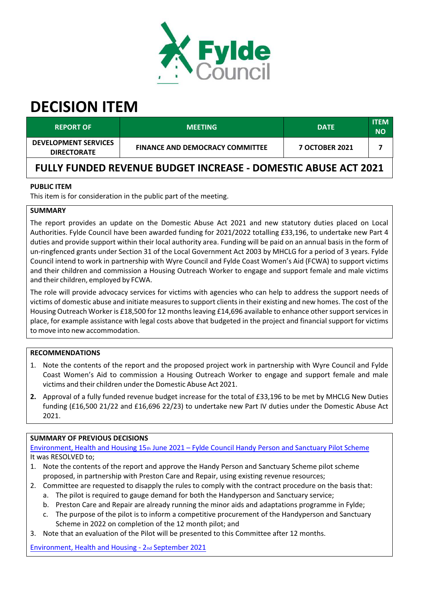

# **DECISION ITEM**

| <b>REPORT OF</b>                                  | <b>MEETING</b>                         | <b>DATE</b>           | ITEM<br><b>NO</b> |
|---------------------------------------------------|----------------------------------------|-----------------------|-------------------|
| <b>DEVELOPMENT SERVICES</b><br><b>DIRECTORATE</b> | <b>FINANCE AND DEMOCRACY COMMITTEE</b> | <b>7 OCTOBER 2021</b> |                   |

## **FULLY FUNDED REVENUE BUDGET INCREASE ‐ DOMESTIC ABUSE ACT 2021**

#### **PUBLIC ITEM**

This item is for consideration in the public part of the meeting.

### **SUMMARY**

The report provides an update on the Domestic Abuse Act 2021 and new statutory duties placed on Local Authorities. Fylde Council have been awarded funding for 2021/2022 totalling £33,196, to undertake new Part 4 duties and provide support within their local authority area. Funding will be paid on an annual basis in the form of un‐ringfenced grants under Section 31 of the Local Government Act 2003 by MHCLG for a period of 3 years. Fylde Council intend to work in partnership with Wyre Council and Fylde Coast Women's Aid (FCWA) to support victims and their children and commission a Housing Outreach Worker to engage and support female and male victims and their children, employed by FCWA.

The role will provide advocacy services for victims with agencies who can help to address the support needs of victims of domestic abuse and initiate measures to support clients in their existing and new homes. The cost of the Housing Outreach Worker is £18,500 for 12 months leaving £14,696 available to enhance other support services in place, for example assistance with legal costs above that budgeted in the project and financial support for victims to move into new accommodation.

#### **RECOMMENDATIONS**

- 1. Note the contents of the report and the proposed project work in partnership with Wyre Council and Fylde Coast Women's Aid to commission a Housing Outreach Worker to engage and support female and male victims and their children under the Domestic Abuse Act 2021.
- **2.** Approval of a fully funded revenue budget increase for the total of £33,196 to be met by MHCLG New Duties funding (£16,500 21/22 and £16,696 22/23) to undertake new Part IV duties under the Domestic Abuse Act 2021.

#### **SUMMARY OF PREVIOUS DECISIONS**

[Environment](https://fylde.cmis.uk.com/fylde/MeetingsCalendar/tabid/70/ctl/ViewMeetingPublic/mid/397/Meeting/1241/Committee/19/SelectedTab/Documents/Default.aspx), [Health](https://fylde.cmis.uk.com/fylde/MeetingsCalendar/tabid/70/ctl/ViewMeetingPublic/mid/397/Meeting/1241/Committee/19/SelectedTab/Documents/Default.aspx) [and](https://fylde.cmis.uk.com/fylde/MeetingsCalendar/tabid/70/ctl/ViewMeetingPublic/mid/397/Meeting/1241/Committee/19/SelectedTab/Documents/Default.aspx) [Housing](https://fylde.cmis.uk.com/fylde/MeetingsCalendar/tabid/70/ctl/ViewMeetingPublic/mid/397/Meeting/1241/Committee/19/SelectedTab/Documents/Default.aspx) [15](https://fylde.cmis.uk.com/fylde/MeetingsCalendar/tabid/70/ctl/ViewMeetingPublic/mid/397/Meeting/1241/Committee/19/SelectedTab/Documents/Default.aspx)[th](https://fylde.cmis.uk.com/fylde/MeetingsCalendar/tabid/70/ctl/ViewMeetingPublic/mid/397/Meeting/1241/Committee/19/SelectedTab/Documents/Default.aspx) [June](https://fylde.cmis.uk.com/fylde/MeetingsCalendar/tabid/70/ctl/ViewMeetingPublic/mid/397/Meeting/1241/Committee/19/SelectedTab/Documents/Default.aspx) [2021](https://fylde.cmis.uk.com/fylde/MeetingsCalendar/tabid/70/ctl/ViewMeetingPublic/mid/397/Meeting/1241/Committee/19/SelectedTab/Documents/Default.aspx) – [Fylde](https://fylde.cmis.uk.com/fylde/MeetingsCalendar/tabid/70/ctl/ViewMeetingPublic/mid/397/Meeting/1241/Committee/19/SelectedTab/Documents/Default.aspx) [Counc](https://fylde.cmis.uk.com/fylde/MeetingsCalendar/tabid/70/ctl/ViewMeetingPublic/mid/397/Meeting/1241/Committee/19/SelectedTab/Documents/Default.aspx)il [Handy](https://fylde.cmis.uk.com/fylde/MeetingsCalendar/tabid/70/ctl/ViewMeetingPublic/mid/397/Meeting/1241/Committee/19/SelectedTab/Documents/Default.aspx) [Person](https://fylde.cmis.uk.com/fylde/MeetingsCalendar/tabid/70/ctl/ViewMeetingPublic/mid/397/Meeting/1241/Committee/19/SelectedTab/Documents/Default.aspx) [and](https://fylde.cmis.uk.com/fylde/MeetingsCalendar/tabid/70/ctl/ViewMeetingPublic/mid/397/Meeting/1241/Committee/19/SelectedTab/Documents/Default.aspx) [Sanctuary](https://fylde.cmis.uk.com/fylde/MeetingsCalendar/tabid/70/ctl/ViewMeetingPublic/mid/397/Meeting/1241/Committee/19/SelectedTab/Documents/Default.aspx) [Pilot](https://fylde.cmis.uk.com/fylde/MeetingsCalendar/tabid/70/ctl/ViewMeetingPublic/mid/397/Meeting/1241/Committee/19/SelectedTab/Documents/Default.aspx) [Scheme](https://fylde.cmis.uk.com/fylde/MeetingsCalendar/tabid/70/ctl/ViewMeetingPublic/mid/397/Meeting/1241/Committee/19/SelectedTab/Documents/Default.aspx) It was RESOLVED to;

- 1. Note the contents of the report and approve the Handy Person and Sanctuary Scheme pilot scheme proposed, in partnership with Preston Care and Repair, using existing revenue resources;
- 2. Committee are requested to disapply the rules to comply with the contract procedure on the basis that: a. The pilot is required to gauge demand for both the Handyperson and Sanctuary service;
	- b. Preston Care and Repair are already running the minor aids and adaptations programme in Fylde;
	- c. The purpose of the pilot is to inform a competitive procurement of the Handyperson and Sanctuary Scheme in 2022 on completion of the 12 month pilot; and
- 3. Note that an evaluation of the Pilot will be presented to this Committee after 12 months.

[Environment,](https://fylde.cmis.uk.com/fylde/MeetingsCalendar/tabid/70/ctl/ViewMeetingPublic/mid/397/Meeting/1242/Committee/19/SelectedTab/Documents/Default.aspx) [Health](https://fylde.cmis.uk.com/fylde/MeetingsCalendar/tabid/70/ctl/ViewMeetingPublic/mid/397/Meeting/1242/Committee/19/SelectedTab/Documents/Default.aspx) [and](https://fylde.cmis.uk.com/fylde/MeetingsCalendar/tabid/70/ctl/ViewMeetingPublic/mid/397/Meeting/1242/Committee/19/SelectedTab/Documents/Default.aspx) [Housing](https://fylde.cmis.uk.com/fylde/MeetingsCalendar/tabid/70/ctl/ViewMeetingPublic/mid/397/Meeting/1242/Committee/19/SelectedTab/Documents/Default.aspx) [‐](https://fylde.cmis.uk.com/fylde/MeetingsCalendar/tabid/70/ctl/ViewMeetingPublic/mid/397/Meeting/1242/Committee/19/SelectedTab/Documents/Default.aspx) [2](https://fylde.cmis.uk.com/fylde/MeetingsCalendar/tabid/70/ctl/ViewMeetingPublic/mid/397/Meeting/1242/Committee/19/SelectedTab/Documents/Default.aspx)[nd](https://fylde.cmis.uk.com/fylde/MeetingsCalendar/tabid/70/ctl/ViewMeetingPublic/mid/397/Meeting/1242/Committee/19/SelectedTab/Documents/Default.aspx) [September](https://fylde.cmis.uk.com/fylde/MeetingsCalendar/tabid/70/ctl/ViewMeetingPublic/mid/397/Meeting/1242/Committee/19/SelectedTab/Documents/Default.aspx) [2021](https://fylde.cmis.uk.com/fylde/MeetingsCalendar/tabid/70/ctl/ViewMeetingPublic/mid/397/Meeting/1242/Committee/19/SelectedTab/Documents/Default.aspx)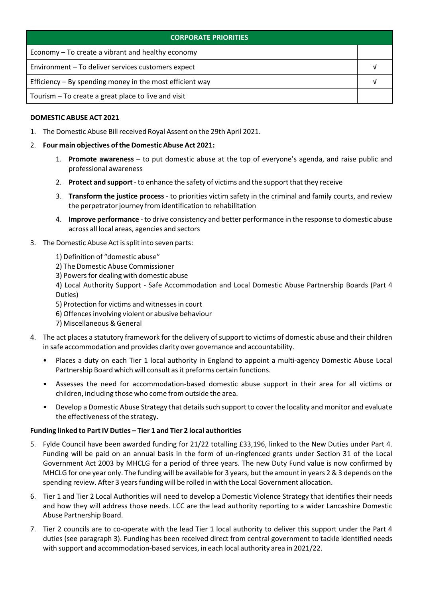| <b>CORPORATE PRIORITIES</b>                                |  |  |
|------------------------------------------------------------|--|--|
| Economy – To create a vibrant and healthy economy          |  |  |
| Environment - To deliver services customers expect         |  |  |
| Efficiency $-$ By spending money in the most efficient way |  |  |
| Tourism – To create a great place to live and visit        |  |  |

#### **DOMESTIC ABUSE ACT 2021**

1. The Domestic Abuse Billreceived Royal Assent on the 29th April 2021.

#### 2. **Four main objectives ofthe Domestic Abuse Act 2021:**

- 1. **Promote awareness** to put domestic abuse at the top of everyone's agenda, and raise public and professional awareness
- 2. **Protect and support**‐ to enhance the safety of victims and the support that they receive
- 3. **Transform the justice process** ‐ to priorities victim safety in the criminal and family courts, and review the perpetrator journey from identification to rehabilitation
- 4. **Improve performance** ‐ to drive consistency and better performance in the response to domestic abuse across all local areas, agencies and sectors
- 3. The Domestic Abuse Act is split into seven parts:
	- 1) Definition of "domestic abuse"
	- 2) The Domestic Abuse Commissioner
	- 3) Powers for dealing with domestic abuse

4) Local Authority Support ‐ Safe Accommodation and Local Domestic Abuse Partnership Boards (Part 4 Duties)

- 5) Protection for victims and witnessesin court
- 6) Offencesinvolving violent or abusive behaviour
- 7) Miscellaneous & General
- 4. The act places a statutory framework for the delivery of support to victims of domestic abuse and their children in safe accommodation and provides clarity over governance and accountability.
	- Places a duty on each Tier 1 local authority in England to appoint a multi‐agency Domestic Abuse Local Partnership Board which will consult as it preforms certain functions.
	- Assesses the need for accommodation‐based domestic abuse support in their area for all victims or children, including those who come from outside the area.
	- Develop a Domestic Abuse Strategy that details such support to cover the locality and monitor and evaluate the effectiveness of the strategy.

#### **Funding linked to PartIV Duties – Tier 1 and Tier 2 local authorities**

- 5. Fylde Council have been awarded funding for 21/22 totalling £33,196, linked to the New Duties under Part 4. Funding will be paid on an annual basis in the form of un-ringfenced grants under Section 31 of the Local Government Act 2003 by MHCLG for a period of three years. The new Duty Fund value is now confirmed by MHCLG for one year only. The funding will be available for 3 years, but the amount in years 2 & 3 depends on the spending review. After 3 years funding will be rolled in with the Local Government allocation.
- 6. Tier 1 and Tier 2 Local Authorities will need to develop a Domestic Violence Strategy that identifies their needs and how they will address those needs. LCC are the lead authority reporting to a wider Lancashire Domestic Abuse Partnership Board.
- 7. Tier 2 councils are to co-operate with the lead Tier 1 local authority to deliver this support under the Part 4 duties (see paragraph 3). Funding has been received direct from central government to tackle identified needs with support and accommodation-based services, in each local authority area in 2021/22.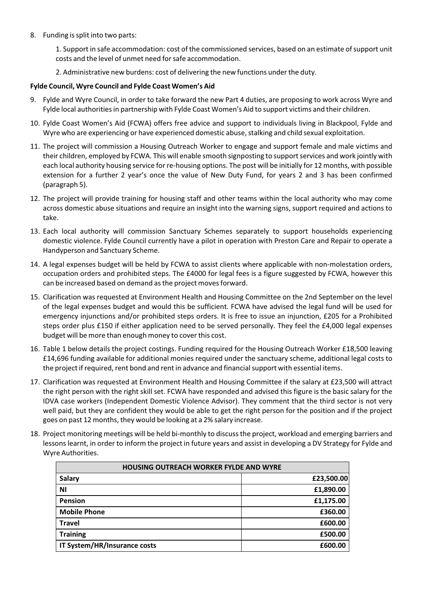8. Funding issplit into two parts:

1. Support in safe accommodation: cost of the commissioned services, based on an estimate ofsupport unit costs and the level of unmet need forsafe accommodation.

2. Administrative new burdens: cost of delivering the new functions underthe duty.

#### **Fylde Council, Wyre Council and Fylde Coast Women's Aid**

- 9. Fylde and Wyre Council, in order to take forward the new Part 4 duties, are proposing to work across Wyre and Fylde local authoritiesin partnership with Fylde Coast Women's Aid to support victims and their children.
- 10. Fylde Coast Women's Aid (FCWA) offers free advice and support to individuals living in Blackpool, Fylde and Wyre who are experiencing or have experienced domestic abuse, stalking and child sexual exploitation.
- 11. The project will commission a Housing Outreach Worker to engage and support female and male victims and their children, employed by FCWA. This will enable smooth signposting to support services and work jointly with each local authority housing service for re-housing options. The post will be initially for 12 months, with possible extension for a further 2 year's once the value of New Duty Fund, for years 2 and 3 has been confirmed (paragraph 5).
- 12. The project will provide training for housing staff and other teams within the local authority who may come across domestic abuse situations and require an insight into the warning signs, support required and actions to take.
- 13. Each local authority will commission Sanctuary Schemes separately to support households experiencing domestic violence. Fylde Council currently have a pilot in operation with Preston Care and Repair to operate a Handyperson and Sanctuary Scheme.
- 14. A legal expenses budget will be held by FCWA to assist clients where applicable with non-molestation orders, occupation orders and prohibited steps. The £4000 for legal fees is a figure suggested by FCWA, however this can be increased based on demand as the project moves forward.
- 15. Clarification was requested at Environment Health and Housing Committee on the 2nd September on the level of the legal expenses budget and would this be sufficient. FCWA have advised the legal fund will be used for emergency injunctions and/or prohibited steps orders. It is free to issue an injunction, £205 for a Prohibited steps order plus £150 if either application need to be served personally. They feel the £4,000 legal expenses budget will be more than enough money to cover this cost.
- 16. Table 1 below details the project costings. Funding required for the Housing Outreach Worker £18,500 leaving £14,696 funding available for additional monies required under the sanctuary scheme, additional legal costs to the project if required, rent bond and rent in advance and financial support with essential items.
- 17. Clarification was requested at Environment Health and Housing Committee if the salary at £23,500 will attract the right person with the right skill set. FCWA have responded and advised this figure is the basic salary for the IDVA case workers (Independent Domestic Violence Advisor). They comment that the third sector is not very well paid, but they are confident they would be able to get the right person for the position and if the project goes on past 12 months, they would be looking at a 2% salary increase.
- 18. Project monitoring meetings will be held bi-monthly to discuss the project, workload and emerging barriers and lessons learnt, in order to inform the project in future years and assist in developing a DV Strategy for Fylde and Wyre Authorities.

| HOUSING OUTREACH WORKER FYLDE AND WYRE |            |  |
|----------------------------------------|------------|--|
| <b>Salary</b>                          | £23,500.00 |  |
| ΝI                                     | £1,890.00  |  |
| <b>Pension</b>                         | £1,175.00  |  |
| <b>Mobile Phone</b>                    | £360.00    |  |
| <b>Travel</b>                          | £600.00    |  |
| <b>Training</b>                        | £500.00    |  |
| IT System/HR/Insurance costs           | £600.00    |  |